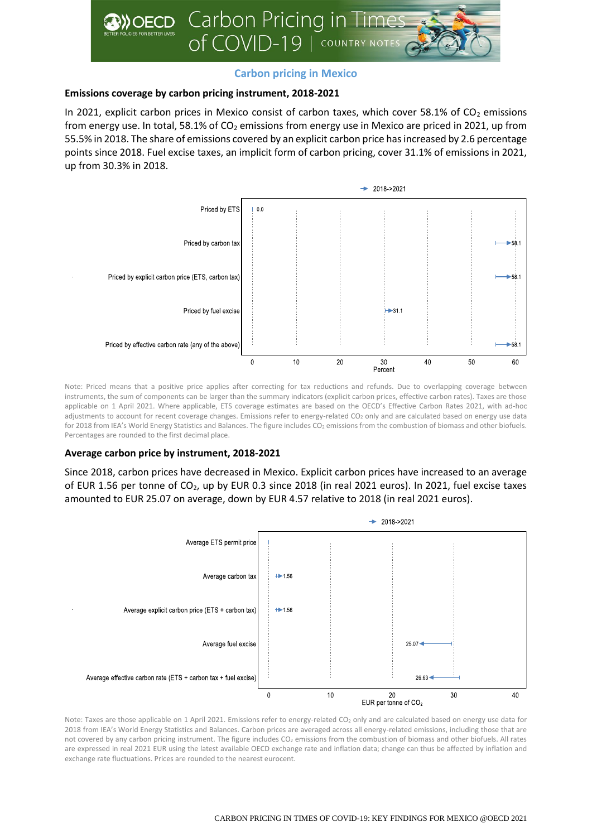

# **Carbon pricing in Mexico**

# **Emissions coverage by carbon pricing instrument, 2018-2021**

In 2021, explicit carbon prices in Mexico consist of carbon taxes, which cover 58.1% of  $CO<sub>2</sub>$  emissions from energy use. In total, 58.1% of  $CO<sub>2</sub>$  emissions from energy use in Mexico are priced in 2021, up from 55.5% in 2018. The share of emissions covered by an explicit carbon price has increased by 2.6 percentage points since 2018. Fuel excise taxes, an implicit form of carbon pricing, cover 31.1% of emissions in 2021, up from 30.3% in 2018.



Note: Priced means that a positive price applies after correcting for tax reductions and refunds. Due to overlapping coverage between instruments, the sum of components can be larger than the summary indicators (explicit carbon prices, effective carbon rates). Taxes are those applicable on 1 April 2021. Where applicable, ETS coverage estimates are based on the OECD's Effective Carbon Rates 2021, with ad-hoc adjustments to account for recent coverage changes. Emissions refer to energy-related CO<sub>2</sub> only and are calculated based on energy use data for 2018 from IEA's World Energy Statistics and Balances. The figure includes CO<sub>2</sub> emissions from the combustion of biomass and other biofuels. Percentages are rounded to the first decimal place.

# **Average carbon price by instrument, 2018-2021**

Since 2018, carbon prices have decreased in Mexico. Explicit carbon prices have increased to an average of EUR 1.56 per tonne of CO<sub>2</sub>, up by EUR 0.3 since 2018 (in real 2021 euros). In 2021, fuel excise taxes amounted to EUR 25.07 on average, down by EUR 4.57 relative to 2018 (in real 2021 euros).



Note: Taxes are those applicable on 1 April 2021. Emissions refer to energy-related CO<sub>2</sub> only and are calculated based on energy use data for 2018 from IEA's World Energy Statistics and Balances. Carbon prices are averaged across all energy-related emissions, including those that are not covered by any carbon pricing instrument. The figure includes CO<sup>2</sup> emissions from the combustion of biomass and other biofuels. All rates are expressed in real 2021 EUR using the latest available OECD exchange rate and inflation data; change can thus be affected by inflation and exchange rate fluctuations. Prices are rounded to the nearest eurocent.